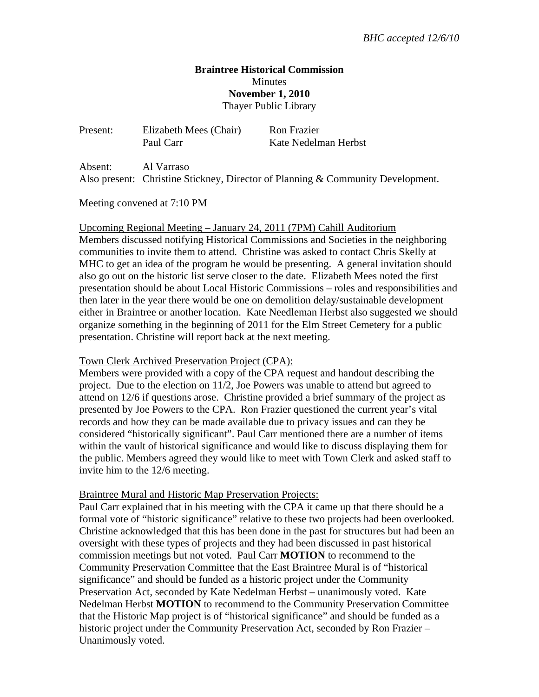## **Braintree Historical Commission Minutes November 1, 2010**  Thayer Public Library

| Present: | Elizabeth Mees (Chair)<br>Paul Carr | Ron Frazier<br>Kate Nedelman Herbst |
|----------|-------------------------------------|-------------------------------------|
| Absent:  | Al Varraso                          |                                     |

Also present: Christine Stickney, Director of Planning & Community Development.

Meeting convened at 7:10 PM

Upcoming Regional Meeting – January 24, 2011 (7PM) Cahill Auditorium

Members discussed notifying Historical Commissions and Societies in the neighboring communities to invite them to attend. Christine was asked to contact Chris Skelly at MHC to get an idea of the program he would be presenting. A general invitation should also go out on the historic list serve closer to the date. Elizabeth Mees noted the first presentation should be about Local Historic Commissions – roles and responsibilities and then later in the year there would be one on demolition delay/sustainable development either in Braintree or another location. Kate Needleman Herbst also suggested we should organize something in the beginning of 2011 for the Elm Street Cemetery for a public presentation. Christine will report back at the next meeting.

Town Clerk Archived Preservation Project (CPA):

Members were provided with a copy of the CPA request and handout describing the project. Due to the election on 11/2, Joe Powers was unable to attend but agreed to attend on 12/6 if questions arose. Christine provided a brief summary of the project as presented by Joe Powers to the CPA. Ron Frazier questioned the current year's vital records and how they can be made available due to privacy issues and can they be considered "historically significant". Paul Carr mentioned there are a number of items within the vault of historical significance and would like to discuss displaying them for the public. Members agreed they would like to meet with Town Clerk and asked staff to invite him to the 12/6 meeting.

Braintree Mural and Historic Map Preservation Projects:

Paul Carr explained that in his meeting with the CPA it came up that there should be a formal vote of "historic significance" relative to these two projects had been overlooked. Christine acknowledged that this has been done in the past for structures but had been an oversight with these types of projects and they had been discussed in past historical commission meetings but not voted. Paul Carr **MOTION** to recommend to the Community Preservation Committee that the East Braintree Mural is of "historical significance" and should be funded as a historic project under the Community Preservation Act, seconded by Kate Nedelman Herbst – unanimously voted. Kate Nedelman Herbst **MOTION** to recommend to the Community Preservation Committee that the Historic Map project is of "historical significance" and should be funded as a historic project under the Community Preservation Act, seconded by Ron Frazier – Unanimously voted.